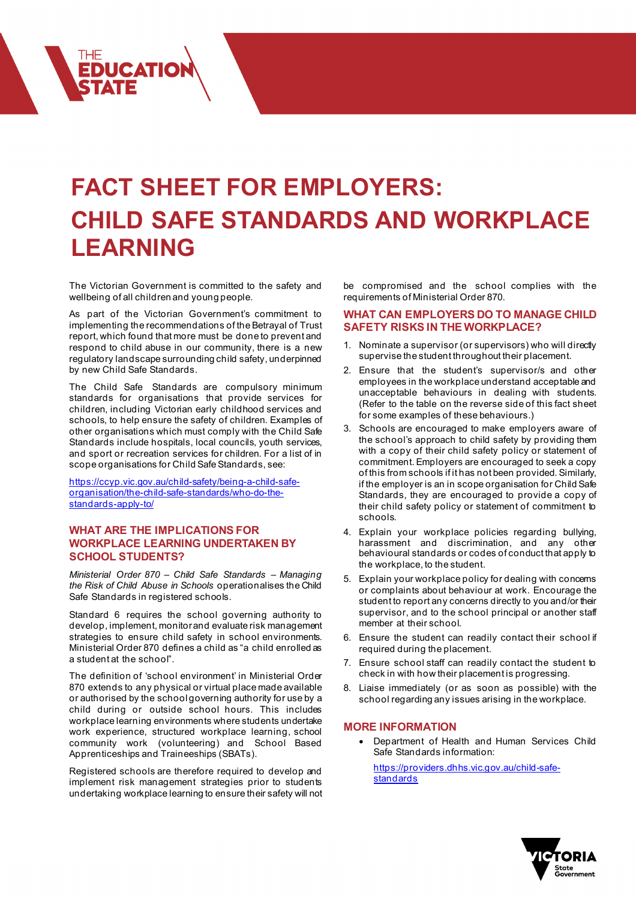# **FACT SHEET FOR EMPLOYERS: CHILD SAFE STANDARDS AND WORKPLACE LEARNING**

The Victorian Government is committed to the safety and wellbeing of all children and young people.

**EDUCATION** 

As part of the Victorian Government's commitment to implementing the recommendations of the Betrayal of Trust report, which found that more must be done to prevent and respond to child abuse in our community, there is a new regulatory landscape surrounding child safety, underpinned by new Child Safe Standards.

The Child Safe Standards are compulsory minimum standards for organisations that provide services for children, including Victorian early childhood services and schools, to help ensure the safety of children. Examples of other organisations which must comply with the Child Safe Standards include hospitals, local councils, youth services, and sport or recreation services for children. For a list of in scope organisations for Child Safe Standards, see:

[https://ccyp.vic.gov.au/child-safety/being-a-child-safe](https://ccyp.vic.gov.au/child-safety/being-a-child-safe-organisation/the-child-safe-standards/who-do-the-standards-apply-to/)[organisation/the-child-safe-standards/who-do-the](https://ccyp.vic.gov.au/child-safety/being-a-child-safe-organisation/the-child-safe-standards/who-do-the-standards-apply-to/)[standards-apply-to/](https://ccyp.vic.gov.au/child-safety/being-a-child-safe-organisation/the-child-safe-standards/who-do-the-standards-apply-to/)

### **WHAT ARE THE IMPLICATIONS FOR WORKPLACE LEARNING UNDERTAKEN BY SCHOOL STUDENTS?**

*Ministerial Order 870 – Child Safe Standards – Managing the Risk of Child Abuse in Schools* operationalises the Child Safe Standards in registered schools.

Standard 6 requires the school governing authority to develop, implement, monitor and evaluate risk management strategies to ensure child safety in school environments. Ministerial Order 870 defines a child as "a child enrolled as a student at the school".

The definition of 'school environment' in Ministerial Order 870 extends to any physical or virtual place made available or authorised by the school governing authority for use by a child during or outside school hours. This includes workplace learning environments where students undertake work experience, structured workplace learning, school community work (volunteering) and School Based Apprenticeships and Traineeships (SBATs).

Registered schools are therefore required to develop and implement risk management strategies prior to students undertaking workplace learning to ensure their safety will not be compromised and the school complies with the requirements of Ministerial Order 870.

#### **WHAT CAN EMPLOYERS DO TO MANAGE CHILD SAFETY RISKS IN THE WORKPLACE?**

- 1. Nominate a supervisor (or supervisors) who will directly supervise the student throughout their placement.
- 2. Ensure that the student's supervisor/s and other employees in the workplace understand acceptable and unacceptable behaviours in dealing with students. (Refer to the table on the reverse side of this fact sheet for some examples of these behaviours.)
- 3. Schools are encouraged to make employers aware of the school's approach to child safety by providing them with a copy of their child safety policy or statement of commitment. Employers are encouraged to seek a copy of this from schools if it has not been provided. Similarly, if the employer is an in scope organisation for Child Safe Standards, they are encouraged to provide a copy of their child safety policy or statement of commitment to schools.
- 4. Explain your workplace policies regarding bullying, harassment and discrimination, and any other behavioural standards or codes of conduct that apply to the workplace, to the student.
- 5. Explain your workplace policy for dealing with concerns or complaints about behaviour at work. Encourage the student to report any concerns directly to you and/or their supervisor, and to the school principal or another staff member at their school.
- 6. Ensure the student can readily contact their school if required during the placement.
- 7. Ensure school staff can readily contact the student to check in with how their placement is progressing.
- 8. Liaise immediately (or as soon as possible) with the school regarding any issues arising in the workplace.

#### **MORE INFORMATION**

• Department of Health and Human Services Child Safe Standards information:

[https://providers.dhhs.vic.gov.au/child-safe](https://providers.dhhs.vic.gov.au/child-safe-standards)**[standards](https://providers.dhhs.vic.gov.au/child-safe-standards)** 

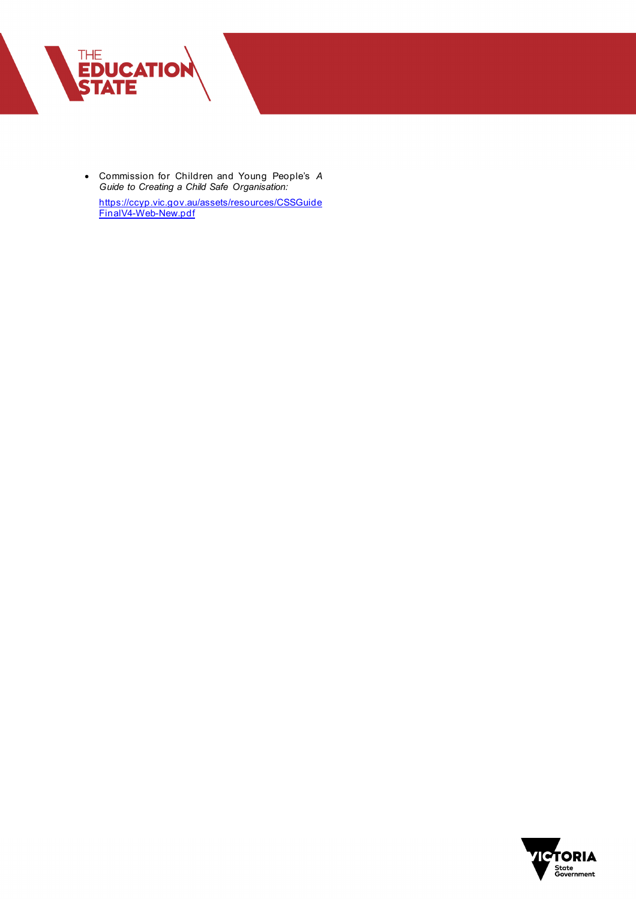

• Commission for Children and Young People's *A Guide to Creating a Child Safe Organisation:* [https://ccyp.vic.gov.au/assets/resources/CSSGuide](https://ccyp.vic.gov.au/assets/resources/CSSGuideFinalV4-Web-New.pdf)

[FinalV4-Web-New.pdf](https://ccyp.vic.gov.au/assets/resources/CSSGuideFinalV4-Web-New.pdf)